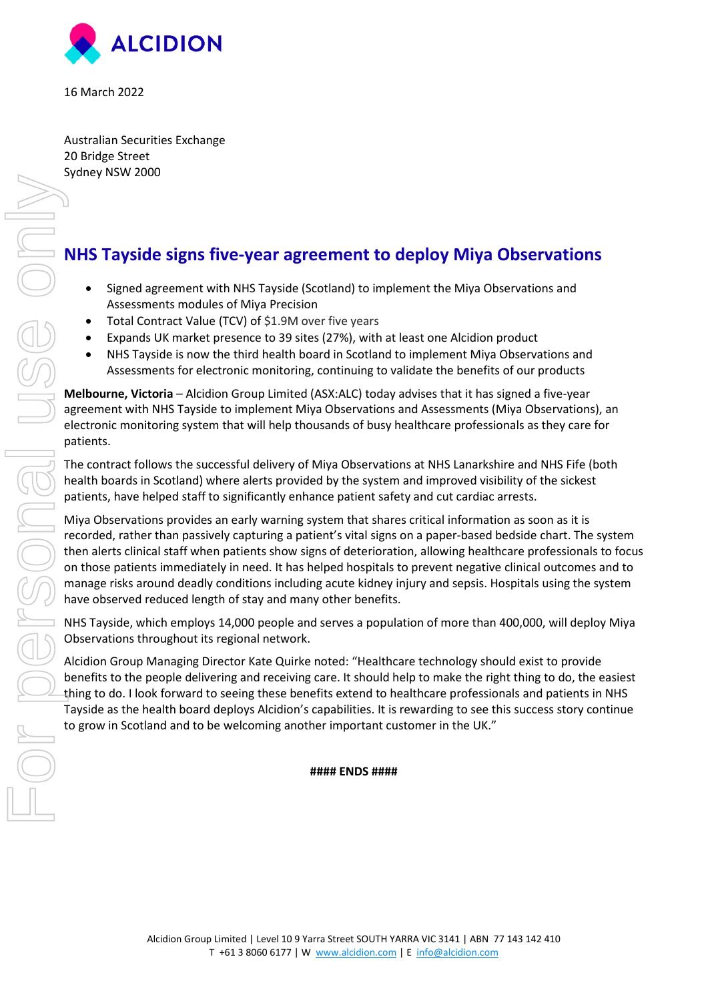

16 March 2022

Australian Securities Exchange 20 Bridge Street Sydney NSW 2000

## **NHS Tayside signs five-year agreement to deploy Miya Observations**

- Signed agreement with NHS Tayside (Scotland) to implement the Miya Observations and Assessments modules of Miya Precision
- Total Contract Value (TCV) of \$1.9M over five years
- Expands UK market presence to 39 sites (27%), with at least one Alcidion product
- NHS Tayside is now the third health board in Scotland to implement Miya Observations and Assessments for electronic monitoring, continuing to validate the benefits of our products

**Melbourne, Victoria** – Alcidion Group Limited (ASX:ALC) today advises that it has signed a five-year agreement with NHS Tayside to implement Miya Observations and Assessments (Miya Observations), an electronic monitoring system that will help thousands of busy healthcare professionals as they care for patients.

The contract follows the successful delivery of Miya Observations at NHS Lanarkshire and NHS Fife (both health boards in Scotland) where alerts provided by the system and improved visibility of the sickest patients, have helped staff to significantly enhance patient safety and cut cardiac arrests.

Miya Observations provides an early warning system that shares critical information as soon as it is recorded, rather than passively capturing a patient's vital signs on a paper-based bedside chart. The system then alerts clinical staff when patients show signs of deterioration, allowing healthcare professionals to focus on those patients immediately in need. It has helped hospitals to prevent negative clinical outcomes and to manage risks around deadly conditions including acute kidney injury and sepsis. Hospitals using the system have observed reduced length of stay and many other benefits.

NHS Tayside, which employs 14,000 people and serves a population of more than 400,000, will deploy Miya Observations throughout its regional network.

Alcidion Group Managing Director Kate Quirke noted: "Healthcare technology should exist to provide benefits to the people delivering and receiving care. It should help to make the right thing to do, the easiest thing to do. I look forward to seeing these benefits extend to healthcare professionals and patients in NHS Tayside as the health board deploys Alcidion's capabilities. It is rewarding to see this success story continue to grow in Scotland and to be welcoming another important customer in the UK."

## **#### ENDS ####**